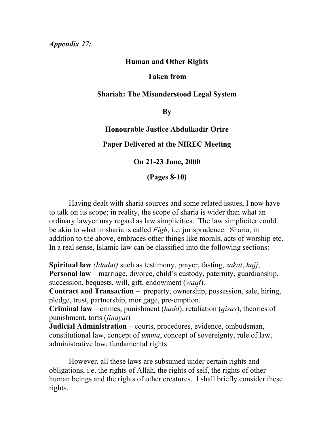## **Human and Other Rights**

## **Taken from**

## **Shariah: The Misunderstood Legal System**

**By**

**Honourable Justice Abdulkadir Orire Paper Delivered at the NIREC Meeting**

**On 21-23 June, 2000**

**(Pages 8-10)**

Having dealt with sharia sources and some related issues, I now have to talk on its scope; in reality, the scope of sharia is wider than what an ordinary lawyer may regard as law simplicities. The law simpliciter could be akin to what in sharia is called *Figh*, i.e. jurisprudence. Sharia, in addition to the above, embraces other things like morals, acts of worship etc. In a real sense, Islamic law can be classified into the following sections:

**Spiritual law** *(Idadat)* such as testimony, prayer, fasting, *zakat*, *hajj*; **Personal law** – marriage, divorce, child's custody, paternity, guardianship, succession, bequests, will, gift, endowment (*waqf*).

**Contract and Transaction** – property, ownership, possession, sale, hiring, pledge, trust, partnership, mortgage, pre-emption.

**Criminal law** – crimes, punishment (*hadd*), retaliation (*qisas*), theories of punishment, torts (*jinayat*)

**Judicial Administration** – courts, procedures, evidence, ombudsman, constitutional law, concept of *umma*, concept of sovereignty, rule of law, administrative law, fundamental rights.

However, all these laws are subsumed under certain rights and obligations, i.e. the rights of Allah, the rights of self, the rights of other human beings and the rights of other creatures. I shall briefly consider these rights.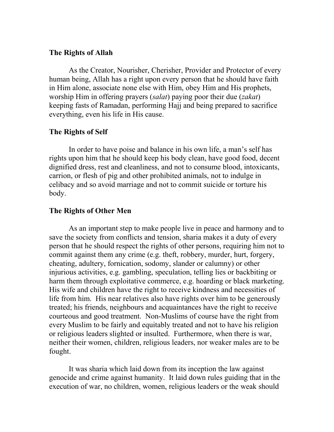#### **The Rights of Allah**

As the Creator, Nourisher, Cherisher, Provider and Protector of every human being, Allah has a right upon every person that he should have faith in Him alone, associate none else with Him, obey Him and His prophets, worship Him in offering prayers (*salat*) paying poor their due (*zakat*) keeping fasts of Ramadan, performing Hajj and being prepared to sacrifice everything, even his life in His cause.

### **The Rights of Self**

In order to have poise and balance in his own life, a man's self has rights upon him that he should keep his body clean, have good food, decent dignified dress, rest and cleanliness, and not to consume blood, intoxicants, carrion, or flesh of pig and other prohibited animals, not to indulge in celibacy and so avoid marriage and not to commit suicide or torture his body.

# **The Rights of Other Men**

As an important step to make people live in peace and harmony and to save the society from conflicts and tension, sharia makes it a duty of every person that he should respect the rights of other persons, requiring him not to commit against them any crime (e.g. theft, robbery, murder, hurt, forgery, cheating, adultery, fornication, sodomy, slander or calumny) or other injurious activities, e.g. gambling, speculation, telling lies or backbiting or harm them through exploitative commerce, e.g. hoarding or black marketing. His wife and children have the right to receive kindness and necessities of life from him. His near relatives also have rights over him to be generously treated; his friends, neighbours and acquaintances have the right to receive courteous and good treatment. Non-Muslims of course have the right from every Muslim to be fairly and equitably treated and not to have his religion or religious leaders slighted or insulted. Furthermore, when there is war, neither their women, children, religious leaders, nor weaker males are to be fought.

It was sharia which laid down from its inception the law against genocide and crime against humanity. It laid down rules guiding that in the execution of war, no children, women, religious leaders or the weak should